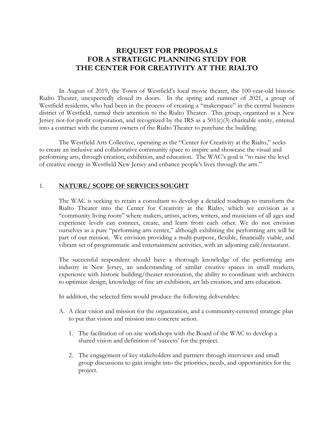# **REQUEST FOR PROPOSALS FOR A STRATEGIC PLANNING STUDY FOR THE CENTER FOR CREATIVITY AT THE RIALTO**

 In August of 2019, the Town of Westfield's local movie theater, the 100-year-old historic Rialto Theater, unexpectedly closed its doors. In the spring and summer of 2021, a group of Westfield residents, who had been in the process of creating a "makerspace" in the central business district of Westfield, turned their attention to the Rialto Theater. This group, organized as a New Jersey not-for-profit corporation, and recognized by the IRS as a 501(c)(3) charitable entity, entered into a contract with the current owners of the Rialto Theater to purchase the building.

 The Westfield Arts Collective, operating as the "Center for Creativity at the Rialto," seeks to create an inclusive and collaborative community space to inspire and showcase the visual and performing arts, through creation, exhibition, and education. The WAC's goal is "to raise the level of creative energy in Westfield New Jersey and enhance people's lives through the arts."

#### 1. **NATURE/ SCOPE OF SERVICES SOUGHT**

 The WAC is seeking to retain a consultant to develop a detailed roadmap to transform the Rialto Theater into the Center for Creativity at the Rialto, which we envision as a "community living room" where makers, artists, actors, writers, and musicians of all ages and experience levels can connect, create, and learn from each other. We do not envision ourselves as a pure "performing arts center," although exhibiting the performing arts will be part of our mission. We envision providing a multi-purpose, flexible, financially viable, and vibrant set of programmatic and entertainment activities, with an adjoining café/restaurant.

 The successful respondent should have a thorough knowledge of the performing arts industry in New Jersey, an understanding of similar creative spaces in small markets, experience with historic building/theater restoration, the ability to coordinate with architects to optimize design, knowledge of fine art exhibition, art lab creation, and arts education.

In addition, the selected firm would produce the following deliverables:

- A. A clear vision and mission for the organization, and a community-centered strategic plan to put that vision and mission into concrete action.
	- 1. The facilitation of on-site workshops with the Board of the WAC to develop a shared vision and definition of 'success' for the project.
	- 2. The engagement of key stakeholders and partners through interviews and small group discussions to gain insight into the priorities, needs, and opportunities for the project.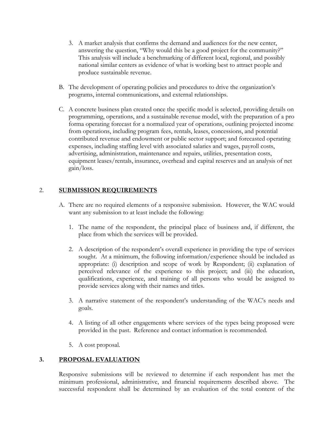- 3. A market analysis that confirms the demand and audiences for the new center, answering the question, "Why would this be a good project for the community?" This analysis will include a benchmarking of different local, regional, and possibly national similar centers as evidence of what is working best to attract people and produce sustainable revenue.
- B. The development of operating policies and procedures to drive the organization's programs, internal communications, and external relationships.
- C. A concrete business plan created once the specific model is selected, providing details on programming, operations, and a sustainable revenue model, with the preparation of a pro forma operating forecast for a normalized year of operations, outlining projected income from operations, including program fees, rentals, leases, concessions, and potential contributed revenue and endowment or public sector support; and forecasted operating expenses, including staffing level with associated salaries and wages, payroll costs, advertising, administration, maintenance and repairs, utilities, presentation costs, equipment leases/rentals, insurance, overhead and capital reserves and an analysis of net gain/loss.

## 2. **SUBMISSION REQUIREMENTS**

- A. There are no required elements of a responsive submission. However, the WAC would want any submission to at least include the following:
	- 1. The name of the respondent, the principal place of business and, if different, the place from which the services will be provided.
	- 2. A description of the respondent's overall experience in providing the type of services sought. At a minimum, the following information/experience should be included as appropriate: (i) description and scope of work by Respondent; (ii) explanation of perceived relevance of the experience to this project; and (iii) the education, qualifications, experience, and training of all persons who would be assigned to provide services along with their names and titles.
	- 3. A narrative statement of the respondent's understanding of the WAC's needs and goals.
	- 4. A listing of all other engagements where services of the types being proposed were provided in the past. Reference and contact information is recommended.
	- 5. A cost proposal.

### **3. PROPOSAL EVALUATION**

Responsive submissions will be reviewed to determine if each respondent has met the minimum professional, administrative, and financial requirements described above. The successful respondent shall be determined by an evaluation of the total content of the